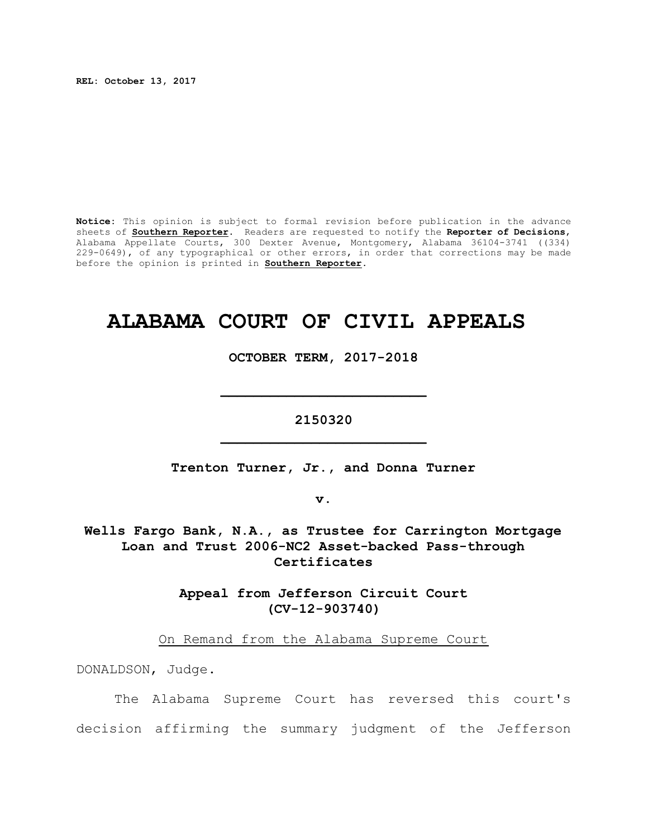**REL: October 13, 2017**

**Notice:** This opinion is subject to formal revision before publication in the advance sheets of **Southern Reporter**. Readers are requested to notify the **Reporter of Decisions**, Alabama Appellate Courts, 300 Dexter Avenue, Montgomery, Alabama 36104-3741 ((334) 229-0649), of any typographical or other errors, in order that corrections may be made before the opinion is printed in **Southern Reporter**.

## **ALABAMA COURT OF CIVIL APPEALS**

**OCTOBER TERM, 2017-2018**

**\_\_\_\_\_\_\_\_\_\_\_\_\_\_\_\_\_\_\_\_\_\_\_\_\_**

**2150320 \_\_\_\_\_\_\_\_\_\_\_\_\_\_\_\_\_\_\_\_\_\_\_\_\_**

**Trenton Turner, Jr., and Donna Turner**

**v.**

**Wells Fargo Bank, N.A., as Trustee for Carrington Mortgage Loan and Trust 2006-NC2 Asset-backed Pass-through Certificates**

> **Appeal from Jefferson Circuit Court (CV-12-903740)**

On Remand from the Alabama Supreme Court

DONALDSON, Judge.

The Alabama Supreme Court has reversed this court's decision affirming the summary judgment of the Jefferson